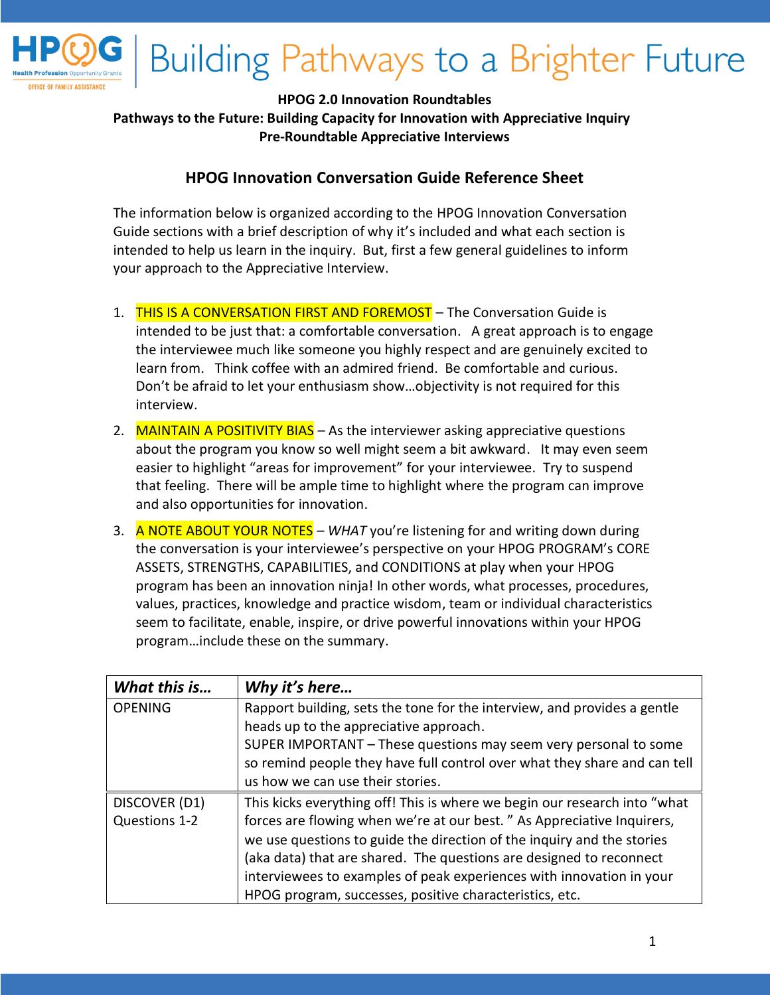

## **HPOG 2.0 Innovation Roundtables**

**Pathways to the Future: Building Capacity for Innovation with Appreciative Inquiry Pre-Roundtable Appreciative Interviews** 

## **HPOG Innovation Conversation Guide Reference Sheet**

The information below is organized according to the HPOG Innovation Conversation Guide sections with a brief description of why it's included and what each section is intended to help us learn in the inquiry. But, first a few general guidelines to inform your approach to the Appreciative Interview.

- 1. THIS IS A CONVERSATION FIRST AND FOREMOST The Conversation Guide is intended to be just that: a comfortable conversation. A great approach is to engage the interviewee much like someone you highly respect and are genuinely excited to learn from. Think coffee with an admired friend. Be comfortable and curious. Don't be afraid to let your enthusiasm show…objectivity is not required for this interview.
- 2. MAINTAIN A POSITIVITY BIAS As the interviewer asking appreciative questions about the program you know so well might seem a bit awkward. It may even seem easier to highlight "areas for improvement" for your interviewee. Try to suspend that feeling. There will be ample time to highlight where the program can improve and also opportunities for innovation.
- 3. A NOTE ABOUT YOUR NOTES *WHAT* you're listening for and writing down during the conversation is your interviewee's perspective on your HPOG PROGRAM's CORE ASSETS, STRENGTHS, CAPABILITIES, and CONDITIONS at play when your HPOG program has been an innovation ninja! In other words, what processes, procedures, values, practices, knowledge and practice wisdom, team or individual characteristics seem to facilitate, enable, inspire, or drive powerful innovations within your HPOG program…include these on the summary.

| What this is   | Why it's here                                                             |
|----------------|---------------------------------------------------------------------------|
| <b>OPENING</b> | Rapport building, sets the tone for the interview, and provides a gentle  |
|                | heads up to the appreciative approach.                                    |
|                | SUPER IMPORTANT - These questions may seem very personal to some          |
|                | so remind people they have full control over what they share and can tell |
|                | us how we can use their stories.                                          |
| DISCOVER (D1)  | This kicks everything off! This is where we begin our research into "what |
| Questions 1-2  | forces are flowing when we're at our best." As Appreciative Inquirers,    |
|                | we use questions to guide the direction of the inquiry and the stories    |
|                | (aka data) that are shared. The questions are designed to reconnect       |
|                | interviewees to examples of peak experiences with innovation in your      |
|                | HPOG program, successes, positive characteristics, etc.                   |